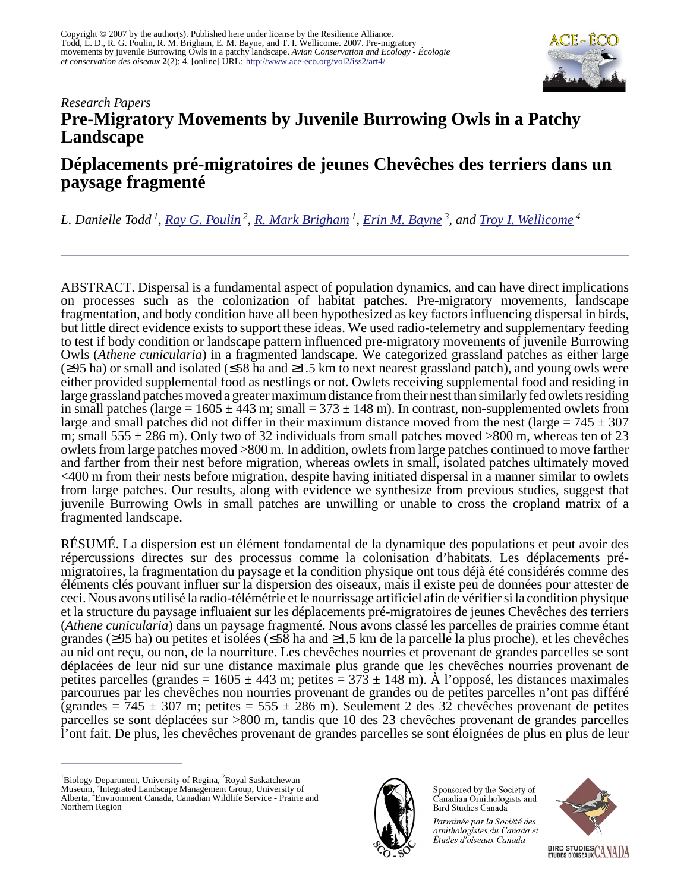

# *Research Papers* **Pre-Migratory Movements by Juvenile Burrowing Owls in a Patchy Landscape**

# **Déplacements pré-migratoires de jeunes Chevêches des terriers dans un paysage fragmenté**

*L. Danielle Todd<sup>1</sup> , [Ray G. Poulin](mailto:rpoulin@royalsaskmuseum.ca)<sup>2</sup> , [R. Mark Brigham](mailto:mark.brigham@uregina.ca)<sup>1</sup> , [Erin M. Bayne](mailto:bayne@ualberta.ca)<sup>3</sup>, and [Troy I. Wellicome](mailto:troy.wellicome@ec.gc.ca)<sup>4</sup>*

ABSTRACT. Dispersal is a fundamental aspect of population dynamics, and can have direct implications on processes such as the colonization of habitat patches. Pre-migratory movements, landscape fragmentation, and body condition have all been hypothesized as key factors influencing dispersal in birds, but little direct evidence exists to support these ideas. We used radio-telemetry and supplementary feeding to test if body condition or landscape pattern influenced pre-migratory movements of juvenile Burrowing Owls (*Athene cunicularia*) in a fragmented landscape. We categorized grassland patches as either large (≥95 ha) or small and isolated (≤58 ha and ≥1.5 km to next nearest grassland patch), and young owls were either provided supplemental food as nestlings or not. Owlets receiving supplemental food and residing in large grassland patches moved a greater maximum distance from their nest than similarly fed owlets residing in small patches (large =  $1605 \pm 443$  m; small =  $373 \pm 148$  m). In contrast, non-supplemented owlets from large and small patches did not differ in their maximum distance moved from the nest (large  $= 745 \pm 307$ ) m; small  $555 \pm 286$  m). Only two of 32 individuals from small patches moved >800 m, whereas ten of 23 owlets from large patches moved >800 m. In addition, owlets from large patches continued to move farther and farther from their nest before migration, whereas owlets in small, isolated patches ultimately moved <400 m from their nests before migration, despite having initiated dispersal in a manner similar to owlets from large patches. Our results, along with evidence we synthesize from previous studies, suggest that juvenile Burrowing Owls in small patches are unwilling or unable to cross the cropland matrix of a fragmented landscape.

RÉSUMÉ. La dispersion est un élément fondamental de la dynamique des populations et peut avoir des répercussions directes sur des processus comme la colonisation d'habitats. Les déplacements prémigratoires, la fragmentation du paysage et la condition physique ont tous déjà été considérés comme des éléments clés pouvant influer sur la dispersion des oiseaux, mais il existe peu de données pour attester de ceci. Nous avons utilisé la radio-télémétrie et le nourrissage artificiel afin de vérifier si la condition physique et la structure du paysage influaient sur les déplacements pré-migratoires de jeunes Chevêches des terriers (*Athene cunicularia*) dans un paysage fragmenté. Nous avons classé les parcelles de prairies comme étant grandes (≥95 ha) ou petites et isolées (≤58 ha and ≥1,5 km de la parcelle la plus proche), et les chevêches au nid ont reçu, ou non, de la nourriture. Les chevêches nourries et provenant de grandes parcelles se sont déplacées de leur nid sur une distance maximale plus grande que les chevêches nourries provenant de petites parcelles (grandes =  $1605 \pm 443$  m; petites =  $373 \pm 148$  m). A l'opposé, les distances maximales parcourues par les chevêches non nourries provenant de grandes ou de petites parcelles n'ont pas différé (grandes =  $745 \pm 307$  m; petites =  $555 \pm 286$  m). Seulement 2 des 32 chevêches provenant de petites parcelles se sont déplacées sur >800 m, tandis que 10 des 23 chevêches provenant de grandes parcelles l'ont fait. De plus, les chevêches provenant de grandes parcelles se sont éloignées de plus en plus de leur



Sponsored by the Society of Canadian Ornithologists and Bird Studies Canada

Parrainée par la Société des ornithologistes du Canada et Études d'oiseaux Canada



<sup>&</sup>lt;sup>1</sup>Biology Department, University of Regina, <sup>2</sup>Royal Saskatchewan Museum, <sup>3</sup>Integrated Landscape Management Group, University of<br>Alberta, <sup>4</sup>Environment Canada, Canadian Wildlife Service - Prairie and Northern Region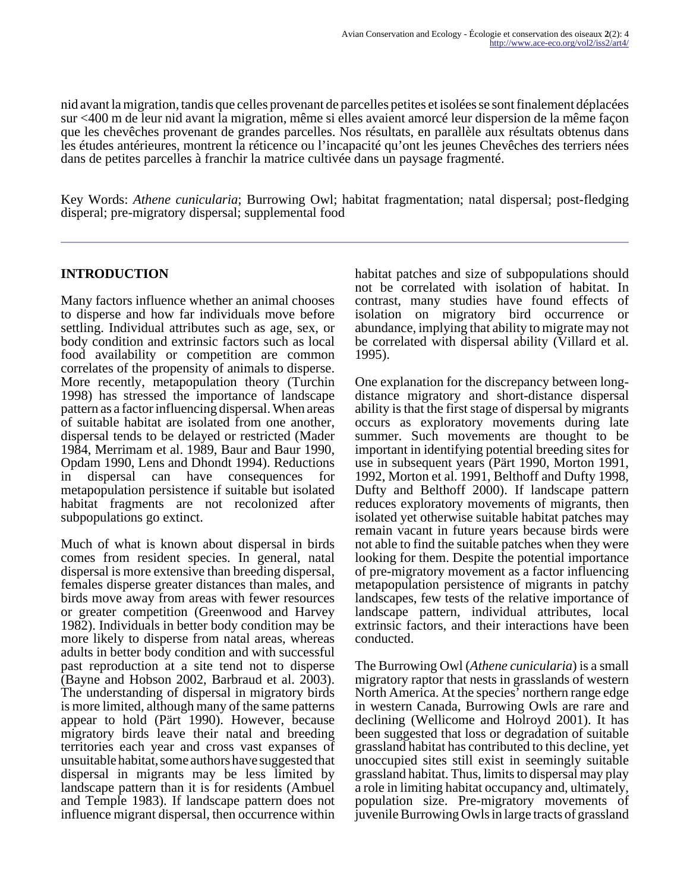nid avant la migration, tandis que celles provenant de parcelles petites et isolées se sont finalement déplacées sur <400 m de leur nid avant la migration, même si elles avaient amorcé leur dispersion de la même façon que les chevêches provenant de grandes parcelles. Nos résultats, en parallèle aux résultats obtenus dans les études antérieures, montrent la réticence ou l'incapacité qu'ont les jeunes Chevêches des terriers nées dans de petites parcelles à franchir la matrice cultivée dans un paysage fragmenté.

Key Words: *Athene cunicularia*; Burrowing Owl; habitat fragmentation; natal dispersal; post-fledging disperal; pre-migratory dispersal; supplemental food

#### **INTRODUCTION**

Many factors influence whether an animal chooses to disperse and how far individuals move before settling. Individual attributes such as age, sex, or body condition and extrinsic factors such as local food availability or competition are common correlates of the propensity of animals to disperse. More recently, metapopulation theory (Turchin 1998) has stressed the importance of landscape pattern as a factor influencing dispersal. When areas of suitable habitat are isolated from one another, dispersal tends to be delayed or restricted (Mader 1984, Merrimam et al. 1989, Baur and Baur 1990, Opdam 1990, Lens and Dhondt 1994). Reductions in dispersal can have consequences for metapopulation persistence if suitable but isolated habitat fragments are not recolonized after subpopulations go extinct.

Much of what is known about dispersal in birds comes from resident species. In general, natal dispersal is more extensive than breeding dispersal, females disperse greater distances than males, and birds move away from areas with fewer resources or greater competition (Greenwood and Harvey 1982). Individuals in better body condition may be more likely to disperse from natal areas, whereas adults in better body condition and with successful past reproduction at a site tend not to disperse (Bayne and Hobson 2002, Barbraud et al. 2003). The understanding of dispersal in migratory birds is more limited, although many of the same patterns appear to hold (Pärt 1990). However, because migratory birds leave their natal and breeding territories each year and cross vast expanses of unsuitable habitat, some authors have suggested that dispersal in migrants may be less limited by landscape pattern than it is for residents (Ambuel and Temple 1983). If landscape pattern does not influence migrant dispersal, then occurrence within

habitat patches and size of subpopulations should not be correlated with isolation of habitat. In contrast, many studies have found effects of isolation on migratory bird occurrence or abundance, implying that ability to migrate may not be correlated with dispersal ability (Villard et al. 1995).

One explanation for the discrepancy between longdistance migratory and short-distance dispersal ability is that the first stage of dispersal by migrants occurs as exploratory movements during late summer. Such movements are thought to be important in identifying potential breeding sites for use in subsequent years (Pärt 1990, Morton 1991, 1992, Morton et al. 1991, Belthoff and Dufty 1998, Dufty and Belthoff 2000). If landscape pattern reduces exploratory movements of migrants, then isolated yet otherwise suitable habitat patches may remain vacant in future years because birds were not able to find the suitable patches when they were looking for them. Despite the potential importance of pre-migratory movement as a factor influencing metapopulation persistence of migrants in patchy landscapes, few tests of the relative importance of landscape pattern, individual attributes, local extrinsic factors, and their interactions have been conducted.

The Burrowing Owl (*Athene cunicularia*) is a small migratory raptor that nests in grasslands of western North America. At the species' northern range edge in western Canada, Burrowing Owls are rare and declining (Wellicome and Holroyd 2001). It has been suggested that loss or degradation of suitable grassland habitat has contributed to this decline, yet unoccupied sites still exist in seemingly suitable grassland habitat. Thus, limits to dispersal may play a role in limiting habitat occupancy and, ultimately, population size. Pre-migratory movements of juvenile Burrowing Owls in large tracts of grassland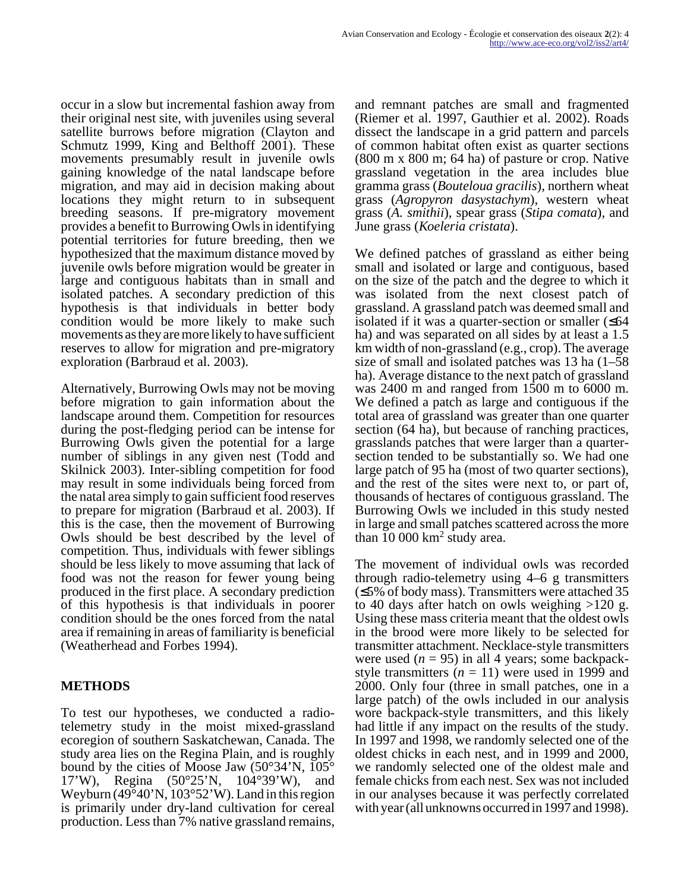occur in a slow but incremental fashion away from their original nest site, with juveniles using several satellite burrows before migration (Clayton and Schmutz 1999, King and Belthoff 2001). These movements presumably result in juvenile owls gaining knowledge of the natal landscape before migration, and may aid in decision making about locations they might return to in subsequent breeding seasons. If pre-migratory movement provides a benefit to Burrowing Owls in identifying potential territories for future breeding, then we hypothesized that the maximum distance moved by juvenile owls before migration would be greater in large and contiguous habitats than in small and isolated patches. A secondary prediction of this hypothesis is that individuals in better body condition would be more likely to make such movements as they are more likely to have sufficient reserves to allow for migration and pre-migratory exploration (Barbraud et al. 2003).

Alternatively, Burrowing Owls may not be moving before migration to gain information about the landscape around them. Competition for resources during the post-fledging period can be intense for Burrowing Owls given the potential for a large number of siblings in any given nest (Todd and Skilnick 2003). Inter-sibling competition for food may result in some individuals being forced from the natal area simply to gain sufficient food reserves to prepare for migration (Barbraud et al. 2003). If this is the case, then the movement of Burrowing Owls should be best described by the level of competition. Thus, individuals with fewer siblings should be less likely to move assuming that lack of food was not the reason for fewer young being produced in the first place. A secondary prediction of this hypothesis is that individuals in poorer condition should be the ones forced from the natal area if remaining in areas of familiarity is beneficial (Weatherhead and Forbes 1994).

# **METHODS**

To test our hypotheses, we conducted a radiotelemetry study in the moist mixed-grassland ecoregion of southern Saskatchewan, Canada. The study area lies on the Regina Plain, and is roughly bound by the cities of Moose Jaw (50°34'N, 105° 17'W), Regina (50°25'N, 104°39'W), and Weyburn (49°40'N, 103°52'W). Land in this region is primarily under dry-land cultivation for cereal production. Less than 7% native grassland remains,

and remnant patches are small and fragmented (Riemer et al. 1997, Gauthier et al. 2002). Roads dissect the landscape in a grid pattern and parcels of common habitat often exist as quarter sections (800 m x 800 m; 64 ha) of pasture or crop. Native grassland vegetation in the area includes blue gramma grass (*Bouteloua gracilis*), northern wheat grass (*Agropyron dasystachym*), western wheat grass (*A. smithii*), spear grass (*Stipa comata*), and June grass (*Koeleria cristata*).

We defined patches of grassland as either being small and isolated or large and contiguous, based on the size of the patch and the degree to which it was isolated from the next closest patch of grassland. A grassland patch was deemed small and isolated if it was a quarter-section or smaller (≤64 ha) and was separated on all sides by at least a 1.5 km width of non-grassland (e.g., crop). The average size of small and isolated patches was 13 ha (1–58 ha). Average distance to the next patch of grassland was 2400 m and ranged from 1500 m to 6000 m. We defined a patch as large and contiguous if the total area of grassland was greater than one quarter section (64 ha), but because of ranching practices, grasslands patches that were larger than a quartersection tended to be substantially so. We had one large patch of 95 ha (most of two quarter sections), and the rest of the sites were next to, or part of, thousands of hectares of contiguous grassland. The Burrowing Owls we included in this study nested in large and small patches scattered across the more than 10 000 km<sup>2</sup> study area.

The movement of individual owls was recorded through radio-telemetry using 4–6 g transmitters (≤5% of body mass). Transmitters were attached 35 to 40 days after hatch on owls weighing >120 g. Using these mass criteria meant that the oldest owls in the brood were more likely to be selected for transmitter attachment. Necklace-style transmitters were used  $(n = 95)$  in all 4 years; some backpackstyle transmitters  $(n = 11)$  were used in 1999 and 2000. Only four (three in small patches, one in a large patch) of the owls included in our analysis wore backpack-style transmitters, and this likely had little if any impact on the results of the study. In 1997 and 1998, we randomly selected one of the oldest chicks in each nest, and in 1999 and 2000, we randomly selected one of the oldest male and female chicks from each nest. Sex was not included in our analyses because it was perfectly correlated with year (all unknowns occurred in 1997 and 1998).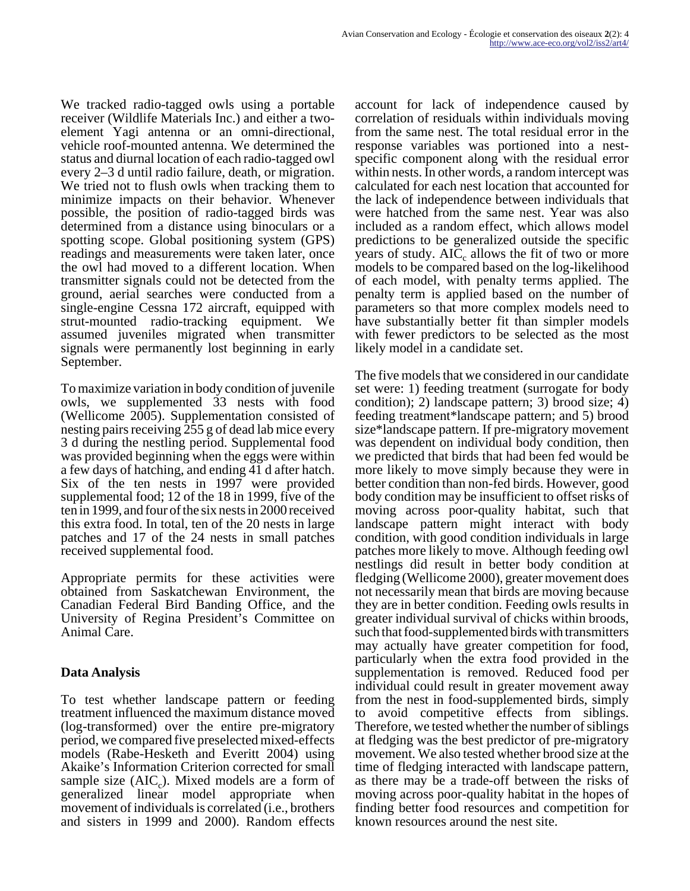We tracked radio-tagged owls using a portable receiver (Wildlife Materials Inc.) and either a twoelement Yagi antenna or an omni-directional, vehicle roof-mounted antenna. We determined the status and diurnal location of each radio-tagged owl every 2–3 d until radio failure, death, or migration. We tried not to flush owls when tracking them to minimize impacts on their behavior. Whenever possible, the position of radio-tagged birds was determined from a distance using binoculars or a spotting scope. Global positioning system (GPS) readings and measurements were taken later, once the owl had moved to a different location. When transmitter signals could not be detected from the ground, aerial searches were conducted from a single-engine Cessna 172 aircraft, equipped with strut-mounted radio-tracking equipment. We assumed juveniles migrated when transmitter signals were permanently lost beginning in early September.

To maximize variation in body condition of juvenile owls, we supplemented 33 nests with food (Wellicome 2005). Supplementation consisted of nesting pairs receiving 255 g of dead lab mice every 3 d during the nestling period. Supplemental food was provided beginning when the eggs were within a few days of hatching, and ending 41 d after hatch. Six of the ten nests in 1997 were provided supplemental food; 12 of the 18 in 1999, five of the ten in 1999, and four of the six nests in 2000 received this extra food. In total, ten of the 20 nests in large patches and 17 of the 24 nests in small patches received supplemental food.

Appropriate permits for these activities were obtained from Saskatchewan Environment, the Canadian Federal Bird Banding Office, and the University of Regina President's Committee on Animal Care.

# **Data Analysis**

To test whether landscape pattern or feeding treatment influenced the maximum distance moved (log-transformed) over the entire pre-migratory period, we compared five preselected mixed-effects models (Rabe-Hesketh and Everitt 2004) using Akaike's Information Criterion corrected for small sample size (AIC<sub>c</sub>). Mixed models are a form of generalized linear model appropriate when movement of individuals is correlated (i.e., brothers and sisters in 1999 and 2000). Random effects

account for lack of independence caused by correlation of residuals within individuals moving from the same nest. The total residual error in the response variables was portioned into a nestspecific component along with the residual error within nests. In other words, a random intercept was calculated for each nest location that accounted for the lack of independence between individuals that were hatched from the same nest. Year was also included as a random effect, which allows model predictions to be generalized outside the specific years of study.  $\text{AIC}_c$  allows the fit of two or more models to be compared based on the log-likelihood of each model, with penalty terms applied. The penalty term is applied based on the number of parameters so that more complex models need to have substantially better fit than simpler models with fewer predictors to be selected as the most likely model in a candidate set.

The five models that we considered in our candidate set were: 1) feeding treatment (surrogate for body condition); 2) landscape pattern; 3) brood size; 4) feeding treatment\*landscape pattern; and 5) brood size\*landscape pattern. If pre-migratory movement was dependent on individual body condition, then we predicted that birds that had been fed would be more likely to move simply because they were in better condition than non-fed birds. However, good body condition may be insufficient to offset risks of moving across poor-quality habitat, such that landscape pattern might interact with body condition, with good condition individuals in large patches more likely to move. Although feeding owl nestlings did result in better body condition at fledging (Wellicome 2000), greater movement does not necessarily mean that birds are moving because they are in better condition. Feeding owls results in greater individual survival of chicks within broods, such that food-supplemented birds with transmitters may actually have greater competition for food, particularly when the extra food provided in the supplementation is removed. Reduced food per individual could result in greater movement away from the nest in food-supplemented birds, simply to avoid competitive effects from siblings. Therefore, we tested whether the number of siblings at fledging was the best predictor of pre-migratory movement. We also tested whether brood size at the time of fledging interacted with landscape pattern, as there may be a trade-off between the risks of moving across poor-quality habitat in the hopes of finding better food resources and competition for known resources around the nest site.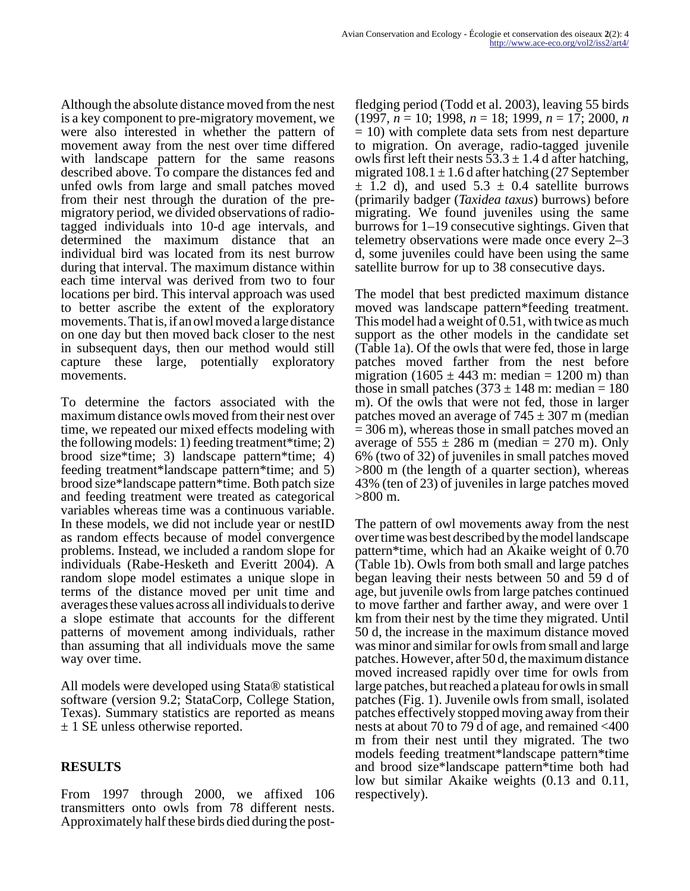Although the absolute distance moved from the nest is a key component to pre-migratory movement, we were also interested in whether the pattern of movement away from the nest over time differed with landscape pattern for the same reasons described above. To compare the distances fed and unfed owls from large and small patches moved from their nest through the duration of the premigratory period, we divided observations of radiotagged individuals into 10-d age intervals, and determined the maximum distance that an individual bird was located from its nest burrow during that interval. The maximum distance within each time interval was derived from two to four locations per bird. This interval approach was used to better ascribe the extent of the exploratory movements. That is, if an owl moved a large distance on one day but then moved back closer to the nest in subsequent days, then our method would still capture these large, potentially exploratory movements.

To determine the factors associated with the maximum distance owls moved from their nest over time, we repeated our mixed effects modeling with the following models: 1) feeding treatment\*time; 2) brood size\*time; 3) landscape pattern\*time; 4) feeding treatment\*landscape pattern\*time; and 5) brood size\*landscape pattern\*time. Both patch size and feeding treatment were treated as categorical variables whereas time was a continuous variable. In these models, we did not include year or nestID as random effects because of model convergence problems. Instead, we included a random slope for individuals (Rabe-Hesketh and Everitt 2004). A random slope model estimates a unique slope in terms of the distance moved per unit time and averages these values across all individuals to derive a slope estimate that accounts for the different patterns of movement among individuals, rather than assuming that all individuals move the same way over time.

All models were developed using Stata® statistical software (version 9.2; StataCorp, College Station, Texas). Summary statistics are reported as means  $\pm$  1 SE unless otherwise reported.

# **RESULTS**

From 1997 through 2000, we affixed 106 transmitters onto owls from 78 different nests. Approximately half these birds died during the postfledging period (Todd et al. 2003), leaving 55 birds (1997, *n* = 10; 1998, *n* = 18; 1999, *n* = 17; 2000, *n*  $= 10$ ) with complete data sets from nest departure to migration. On average, radio-tagged juvenile owls first left their nests  $\overline{53.3} \pm 1.4$  d after hatching, migrated  $108.1 \pm 1.6$  d after hatching (27 September  $\pm$  1.2 d), and used 5.3  $\pm$  0.4 satellite burrows (primarily badger (*Taxidea taxus*) burrows) before migrating. We found juveniles using the same burrows for 1–19 consecutive sightings. Given that telemetry observations were made once every 2–3 d, some juveniles could have been using the same satellite burrow for up to 38 consecutive days.

The model that best predicted maximum distance moved was landscape pattern\*feeding treatment. This model had a weight of 0.51, with twice as much support as the other models in the candidate set (Table 1a). Of the owls that were fed, those in large patches moved farther from the nest before migration (1605  $\pm$  443 m: median = 1200 m) than those in small patches  $(373 \pm 148 \text{ m})$ : median = 180 m). Of the owls that were not fed, those in larger patches moved an average of  $745 \pm 307$  m (median  $= 306$  m), whereas those in small patches moved an average of  $555 \pm 286$  m (median = 270 m). Only 6% (two of 32) of juveniles in small patches moved >800 m (the length of a quarter section), whereas 43% (ten of 23) of juveniles in large patches moved >800 m.

The pattern of owl movements away from the nest over time was best described by the model landscape pattern\*time, which had an Akaike weight of 0.70 (Table 1b). Owls from both small and large patches began leaving their nests between 50 and 59 d of age, but juvenile owls from large patches continued to move farther and farther away, and were over 1 km from their nest by the time they migrated. Until 50 d, the increase in the maximum distance moved was minor and similar for owls from small and large patches. However, after 50 d, the maximum distance moved increased rapidly over time for owls from large patches, but reached a plateau for owls in small patches (Fig. 1). Juvenile owls from small, isolated patches effectively stopped moving away from their nests at about 70 to 79 d of age, and remained <400 m from their nest until they migrated. The two models feeding treatment\*landscape pattern\*time and brood size\*landscape pattern\*time both had low but similar Akaike weights (0.13 and 0.11, respectively).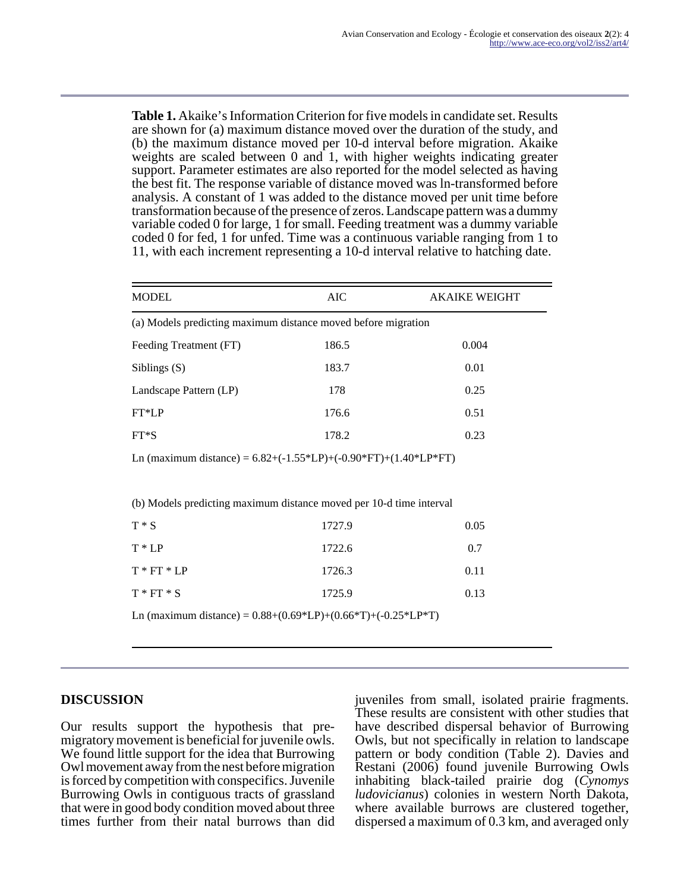**Table 1.** Akaike's Information Criterion for five models in candidate set. Results are shown for (a) maximum distance moved over the duration of the study, and (b) the maximum distance moved per 10-d interval before migration. Akaike weights are scaled between 0 and 1, with higher weights indicating greater support. Parameter estimates are also reported for the model selected as having the best fit. The response variable of distance moved was ln-transformed before analysis. A constant of 1 was added to the distance moved per unit time before transformation because of the presence of zeros. Landscape pattern was a dummy variable coded 0 for large, 1 for small. Feeding treatment was a dummy variable coded 0 for fed, 1 for unfed. Time was a continuous variable ranging from 1 to 11, with each increment representing a 10-d interval relative to hatching date.

| <b>MODEL</b>                                                        | AIC    | <b>AKAIKE WEIGHT</b> |  |  |  |  |
|---------------------------------------------------------------------|--------|----------------------|--|--|--|--|
| (a) Models predicting maximum distance moved before migration       |        |                      |  |  |  |  |
| Feeding Treatment (FT)                                              | 186.5  | 0.004                |  |  |  |  |
| Siblings $(S)$                                                      | 183.7  | 0.01                 |  |  |  |  |
| Landscape Pattern (LP)                                              | 178    | 0.25                 |  |  |  |  |
| FT*LP                                                               | 176.6  | 0.51                 |  |  |  |  |
| $FT*S$                                                              | 178.2  | 0.23                 |  |  |  |  |
| Ln (maximum distance) = $6.82+(-1.55*LP)+(0.90*FT)+(1.40*LP*FT)$    |        |                      |  |  |  |  |
|                                                                     |        |                      |  |  |  |  |
| (b) Models predicting maximum distance moved per 10-d time interval |        |                      |  |  |  |  |
| $T * S$                                                             | 1727.9 | 0.05                 |  |  |  |  |
| $T * LP$                                                            | 1722.6 | 0.7                  |  |  |  |  |
| $T * FT * LP$                                                       | 1726.3 | 0.11                 |  |  |  |  |
| $T * FT * S$                                                        | 1725.9 | 0.13                 |  |  |  |  |
| Ln (maximum distance) = $0.88+(0.69*LP)+(0.66*T)+(0.25*LP*T)$       |        |                      |  |  |  |  |

#### **DISCUSSION**

Our results support the hypothesis that premigratory movement is beneficial for juvenile owls. We found little support for the idea that Burrowing Owl movement away from the nest before migration is forced by competition with conspecifics. Juvenile Burrowing Owls in contiguous tracts of grassland that were in good body condition moved about three times further from their natal burrows than did

juveniles from small, isolated prairie fragments. These results are consistent with other studies that have described dispersal behavior of Burrowing Owls, but not specifically in relation to landscape pattern or body condition (Table 2). Davies and Restani (2006) found juvenile Burrowing Owls inhabiting black-tailed prairie dog (*Cynomys ludovicianus*) colonies in western North Dakota, where available burrows are clustered together, dispersed a maximum of 0.3 km, and averaged only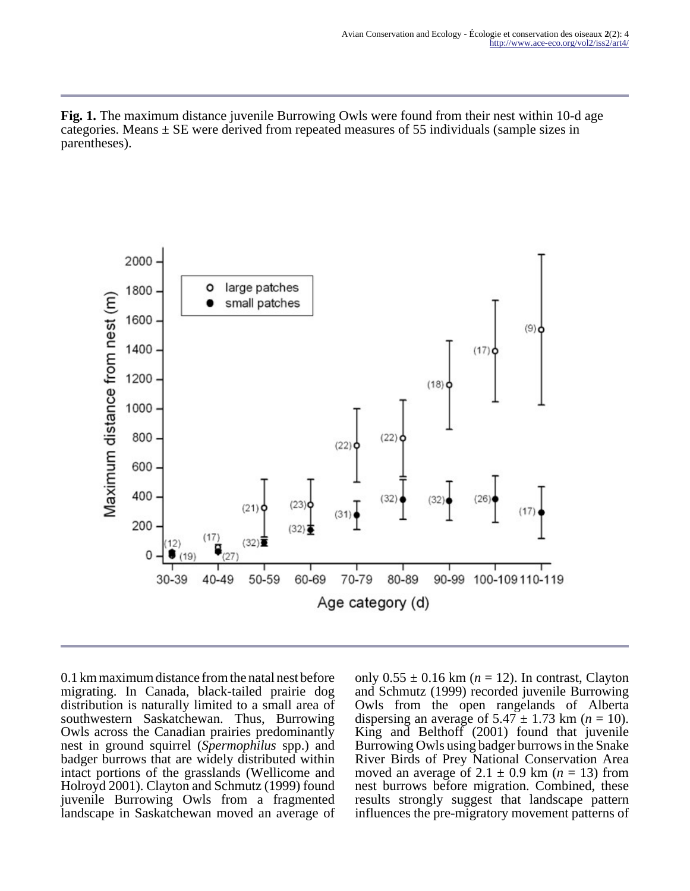**Fig. 1.** The maximum distance juvenile Burrowing Owls were found from their nest within 10-d age categories. Means  $\pm$  SE were derived from repeated measures of 55 individuals (sample sizes in parentheses).



0.1 km maximum distance from the natal nest before migrating. In Canada, black-tailed prairie dog distribution is naturally limited to a small area of southwestern Saskatchewan. Thus, Burrowing Owls across the Canadian prairies predominantly nest in ground squirrel (*Spermophilus* spp.) and badger burrows that are widely distributed within intact portions of the grasslands (Wellicome and Holroyd 2001). Clayton and Schmutz (1999) found juvenile Burrowing Owls from a fragmented landscape in Saskatchewan moved an average of only  $0.55 \pm 0.16$  km ( $n = 12$ ). In contrast, Clayton and Schmutz (1999) recorded juvenile Burrowing Owls from the open rangelands of Alberta dispersing an average of  $5.47 \pm 1.73$  km ( $n = 10$ ). King and Belthoff (2001) found that juvenile Burrowing Owls using badger burrows in the Snake River Birds of Prey National Conservation Area moved an average of  $2.1 \pm 0.9$  km ( $n = 13$ ) from nest burrows before migration. Combined, these results strongly suggest that landscape pattern influences the pre-migratory movement patterns of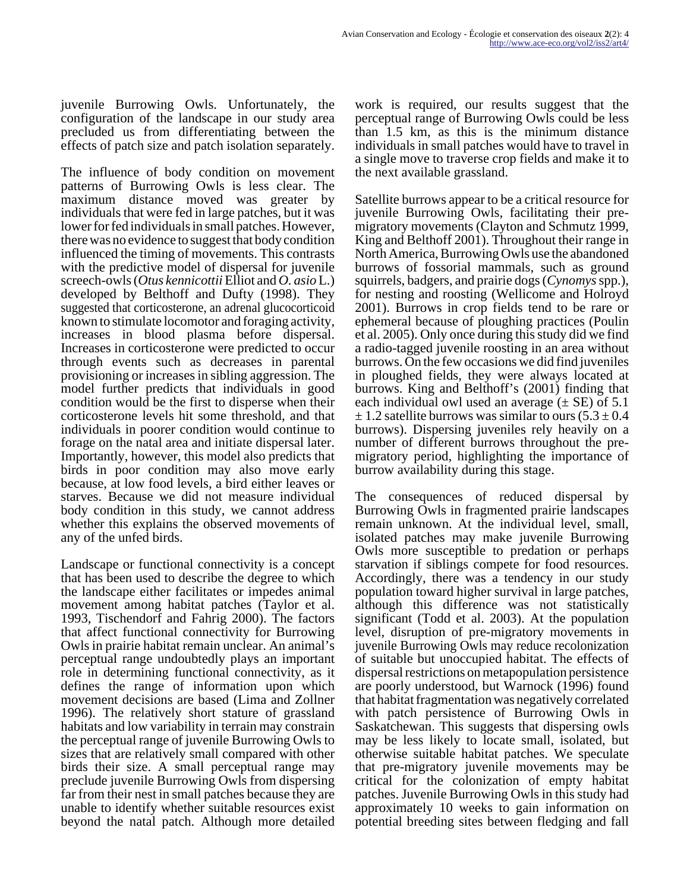juvenile Burrowing Owls. Unfortunately, the configuration of the landscape in our study area precluded us from differentiating between the effects of patch size and patch isolation separately.

The influence of body condition on movement patterns of Burrowing Owls is less clear. The maximum distance moved was greater by individuals that were fed in large patches, but it was lower for fed individuals in small patches. However, there was no evidence to suggest that body condition influenced the timing of movements. This contrasts with the predictive model of dispersal for juvenile screech-owls (*Otus kennicottii* Elliot and *O. asio* L.) developed by Belthoff and Dufty (1998). They suggested that corticosterone, an adrenal glucocorticoid known to stimulate locomotor and foraging activity, increases in blood plasma before dispersal. Increases in corticosterone were predicted to occur through events such as decreases in parental provisioning or increases in sibling aggression. The model further predicts that individuals in good condition would be the first to disperse when their corticosterone levels hit some threshold, and that individuals in poorer condition would continue to forage on the natal area and initiate dispersal later. Importantly, however, this model also predicts that birds in poor condition may also move early because, at low food levels, a bird either leaves or starves. Because we did not measure individual body condition in this study, we cannot address whether this explains the observed movements of any of the unfed birds.

Landscape or functional connectivity is a concept that has been used to describe the degree to which the landscape either facilitates or impedes animal movement among habitat patches (Taylor et al. 1993, Tischendorf and Fahrig 2000). The factors that affect functional connectivity for Burrowing Owls in prairie habitat remain unclear. An animal's perceptual range undoubtedly plays an important role in determining functional connectivity, as it defines the range of information upon which movement decisions are based (Lima and Zollner 1996). The relatively short stature of grassland habitats and low variability in terrain may constrain the perceptual range of juvenile Burrowing Owls to sizes that are relatively small compared with other birds their size. A small perceptual range may preclude juvenile Burrowing Owls from dispersing far from their nest in small patches because they are unable to identify whether suitable resources exist beyond the natal patch. Although more detailed

work is required, our results suggest that the perceptual range of Burrowing Owls could be less than 1.5 km, as this is the minimum distance individuals in small patches would have to travel in a single move to traverse crop fields and make it to the next available grassland.

Satellite burrows appear to be a critical resource for juvenile Burrowing Owls, facilitating their premigratory movements (Clayton and Schmutz 1999, King and Belthoff 2001). Throughout their range in North America, Burrowing Owls use the abandoned burrows of fossorial mammals, such as ground squirrels, badgers, and prairie dogs (*Cynomys* spp.), for nesting and roosting (Wellicome and Holroyd 2001). Burrows in crop fields tend to be rare or ephemeral because of ploughing practices (Poulin et al. 2005). Only once during this study did we find a radio-tagged juvenile roosting in an area without burrows. On the few occasions we did find juveniles in ploughed fields, they were always located at burrows. King and Belthoff's (2001) finding that each individual owl used an average  $(\pm \text{ SE})$  of 5.1  $\pm$  1.2 satellite burrows was similar to ours (5.3  $\pm$  0.4 burrows). Dispersing juveniles rely heavily on a number of different burrows throughout the premigratory period, highlighting the importance of burrow availability during this stage.

The consequences of reduced dispersal by Burrowing Owls in fragmented prairie landscapes remain unknown. At the individual level, small, isolated patches may make juvenile Burrowing Owls more susceptible to predation or perhaps starvation if siblings compete for food resources. Accordingly, there was a tendency in our study population toward higher survival in large patches, although this difference was not statistically significant (Todd et al. 2003). At the population level, disruption of pre-migratory movements in juvenile Burrowing Owls may reduce recolonization of suitable but unoccupied habitat. The effects of dispersal restrictions on metapopulation persistence are poorly understood, but Warnock (1996) found that habitat fragmentation was negatively correlated with patch persistence of Burrowing Owls in Saskatchewan. This suggests that dispersing owls may be less likely to locate small, isolated, but otherwise suitable habitat patches. We speculate that pre-migratory juvenile movements may be critical for the colonization of empty habitat patches. Juvenile Burrowing Owls in this study had approximately 10 weeks to gain information on potential breeding sites between fledging and fall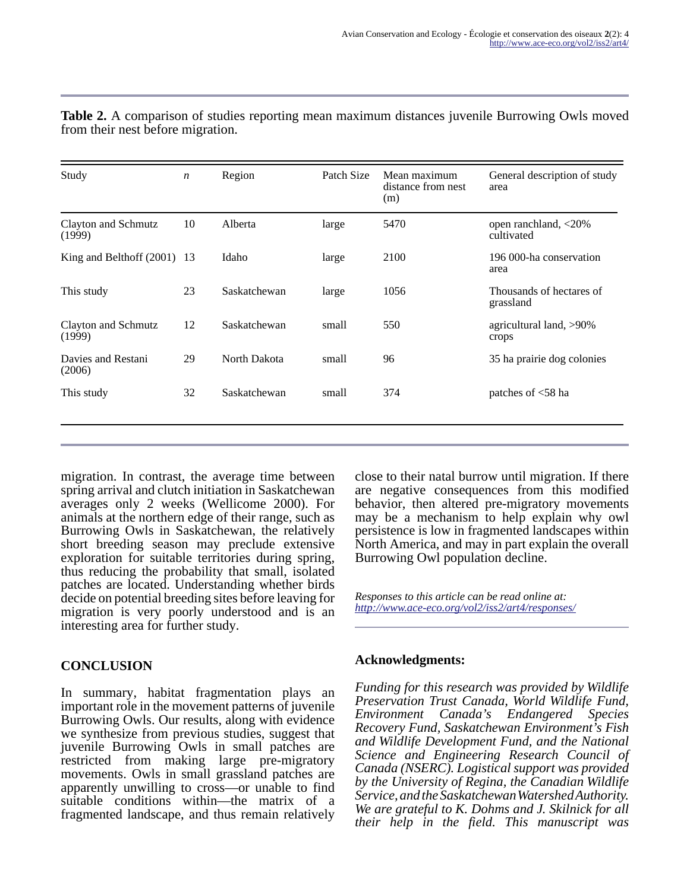| Study                         | $\boldsymbol{n}$ | Region       | Patch Size | Mean maximum<br>distance from nest<br>(m) | General description of study<br>area  |
|-------------------------------|------------------|--------------|------------|-------------------------------------------|---------------------------------------|
| Clayton and Schmutz<br>(1999) | 10               | Alberta      | large      | 5470                                      | open ranchland, <20%<br>cultivated    |
| King and Belthoff (2001) 13   |                  | Idaho        | large      | 2100                                      | 196 000-ha conservation<br>area       |
| This study                    | 23               | Saskatchewan | large      | 1056                                      | Thousands of hectares of<br>grassland |
| Clayton and Schmutz<br>(1999) | 12               | Saskatchewan | small      | 550                                       | agricultural land, >90%<br>crops      |
| Davies and Restani<br>(2006)  | 29               | North Dakota | small      | 96                                        | 35 ha prairie dog colonies            |
| This study                    | 32               | Saskatchewan | small      | 374                                       | patches of $<$ 58 ha                  |
|                               |                  |              |            |                                           |                                       |

**Table 2.** A comparison of studies reporting mean maximum distances juvenile Burrowing Owls moved from their nest before migration.

migration. In contrast, the average time between spring arrival and clutch initiation in Saskatchewan averages only 2 weeks (Wellicome 2000). For animals at the northern edge of their range, such as Burrowing Owls in Saskatchewan, the relatively short breeding season may preclude extensive exploration for suitable territories during spring, thus reducing the probability that small, isolated patches are located. Understanding whether birds decide on potential breeding sites before leaving for migration is very poorly understood and is an interesting area for further study.

# **CONCLUSION**

In summary, habitat fragmentation plays an important role in the movement patterns of juvenile Burrowing Owls. Our results, along with evidence we synthesize from previous studies, suggest that juvenile Burrowing Owls in small patches are restricted from making large pre-migratory movements. Owls in small grassland patches are apparently unwilling to cross—or unable to find suitable conditions within—the matrix of a fragmented landscape, and thus remain relatively

close to their natal burrow until migration. If there are negative consequences from this modified behavior, then altered pre-migratory movements may be a mechanism to help explain why owl persistence is low in fragmented landscapes within North America, and may in part explain the overall Burrowing Owl population decline.

*Responses to this article can be read online at: <http://www.ace-eco.org/vol2/iss2/art4/responses/>*

#### **Acknowledgments:**

*Funding for this research was provided by Wildlife Preservation Trust Canada, World Wildlife Fund, Environment Canada's Endangered Species Recovery Fund, Saskatchewan Environment's Fish and Wildlife Development Fund, and the National Science and Engineering Research Council of Canada (NSERC). Logistical support was provided by the University of Regina, the Canadian Wildlife Service, and the Saskatchewan Watershed Authority. We are grateful to K. Dohms and J. Skilnick for all their help in the field. This manuscript was*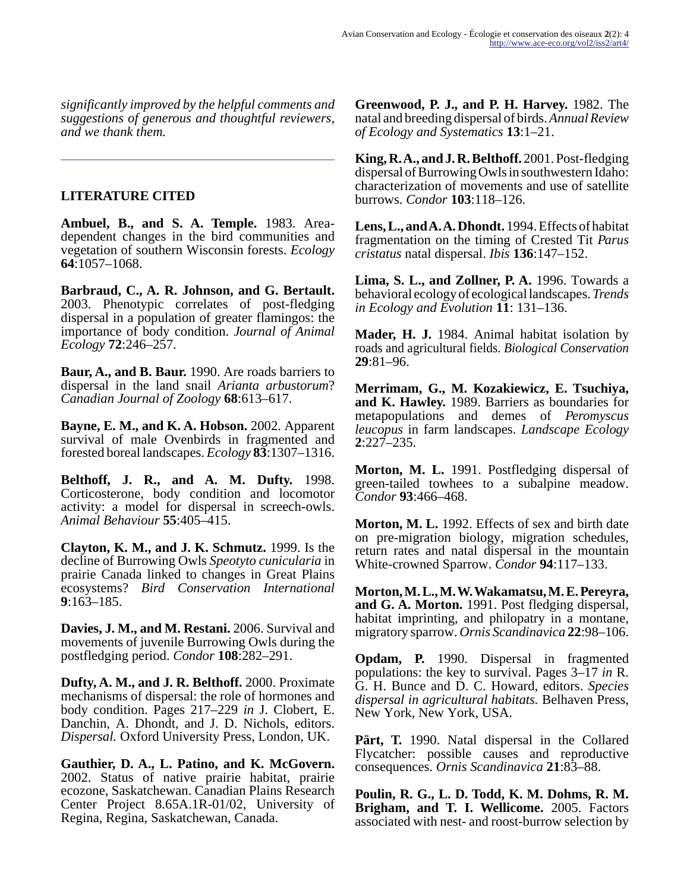*significantly improved by the helpful comments and suggestions of generous and thoughtful reviewers, and we thank them.*

# **LITERATURE CITED**

**Ambuel, B., and S. A. Temple.** 1983. Areadependent changes in the bird communities and vegetation of southern Wisconsin forests. *Ecology* **64**:1057–1068.

**Barbraud, C., A. R. Johnson, and G. Bertault.** 2003. Phenotypic correlates of post-fledging dispersal in a population of greater flamingos: the importance of body condition. *Journal of Animal Ecology* **72**:246–257.

**Baur, A., and B. Baur.** 1990. Are roads barriers to dispersal in the land snail *Arianta arbustorum*? *Canadian Journal of Zoology* **68**:613–617.

**Bayne, E. M., and K. A. Hobson.** 2002. Apparent survival of male Ovenbirds in fragmented and forested boreal landscapes. *Ecology* **83**:1307–1316.

**Belthoff, J. R., and A. M. Dufty.** 1998. Corticosterone, body condition and locomotor activity: a model for dispersal in screech-owls. *Animal Behaviour* **55**:405–415.

**Clayton, K. M., and J. K. Schmutz.** 1999. Is the decline of Burrowing Owls *Speotyto cunicularia* in prairie Canada linked to changes in Great Plains ecosystems? *Bird Conservation International* **9**:163–185.

**Davies, J. M., and M. Restani.** 2006. Survival and movements of juvenile Burrowing Owls during the postfledging period. *Condor* **108**:282–291.

**Dufty, A. M., and J. R. Belthoff.** 2000. Proximate mechanisms of dispersal: the role of hormones and body condition. Pages 217–229 *in* J. Clobert, E. Danchin, A. Dhondt, and J. D. Nichols, editors. *Dispersal.* Oxford University Press, London, UK.

**Gauthier, D. A., L. Patino, and K. McGovern.** 2002. Status of native prairie habitat, prairie ecozone, Saskatchewan. Canadian Plains Research Center Project 8.65A.1R-01/02, University of Regina, Regina, Saskatchewan, Canada.

**Greenwood, P. J., and P. H. Harvey.** 1982. The natal and breeding dispersal of birds. *Annual Review of Ecology and Systematics* **13**:1–21.

**King, R. A., and J. R. Belthoff.** 2001. Post-fledging dispersal of Burrowing Owls in southwestern Idaho: characterization of movements and use of satellite burrows. *Condor* **103**:118–126.

**Lens, L., and A. A. Dhondt.** 1994. Effects of habitat fragmentation on the timing of Crested Tit *Parus cristatus* natal dispersal. *Ibis* **136**:147–152.

**Lima, S. L., and Zollner, P. A.** 1996. Towards a behavioral ecology of ecological landscapes. *Trends in Ecology and Evolution* **11**: 131–136.

**Mader, H. J.** 1984. Animal habitat isolation by roads and agricultural fields. *Biological Conservation* **29**:81–96.

**Merrimam, G., M. Kozakiewicz, E. Tsuchiya, and K. Hawley.** 1989. Barriers as boundaries for metapopulations and demes of *Peromyscus leucopus* in farm landscapes. *Landscape Ecology* **2**:227–235.

**Morton, M. L.** 1991. Postfledging dispersal of green-tailed towhees to a subalpine meadow. *Condor* **93**:466–468.

**Morton, M. L.** 1992. Effects of sex and birth date on pre-migration biology, migration schedules, return rates and natal dispersal in the mountain White-crowned Sparrow. *Condor* **94**:117–133.

**Morton, M. L., M. W. Wakamatsu, M. E. Pereyra, and G. A. Morton.** 1991. Post fledging dispersal, habitat imprinting, and philopatry in a montane, migratory sparrow. *Ornis Scandinavica* **22**:98–106.

**Opdam, P.** 1990. Dispersal in fragmented populations: the key to survival. Pages 3–17 *in* R. G. H. Bunce and D. C. Howard, editors. *Species dispersal in agricultural habitats.* Belhaven Press, New York, New York, USA.

**Pärt, T.** 1990. Natal dispersal in the Collared Flycatcher: possible causes and reproductive consequences. *Ornis Scandinavica* **21**:83–88.

**Poulin, R. G., L. D. Todd, K. M. Dohms, R. M. Brigham, and T. I. Wellicome.** 2005. Factors associated with nest- and roost-burrow selection by